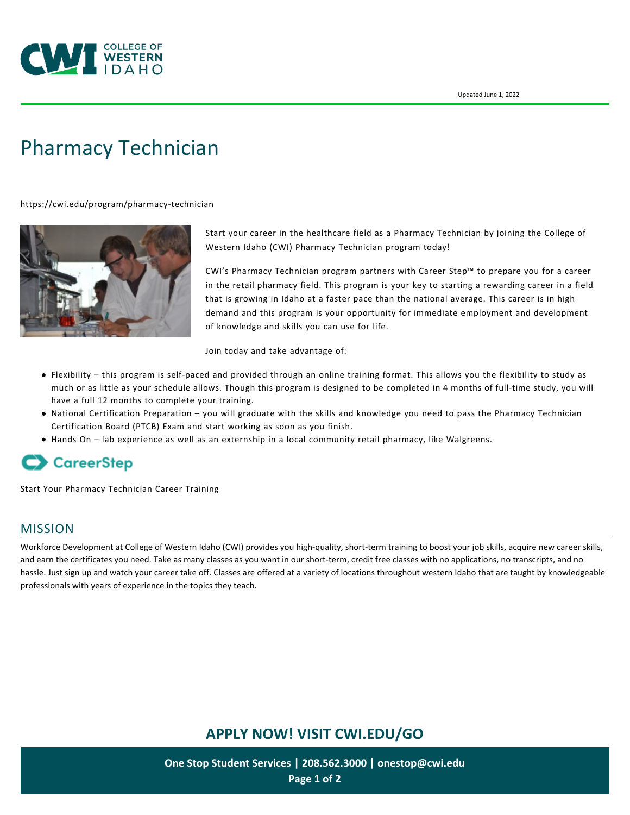

# [Pharmacy Technician](https://cwi.edu/program/pharmacy-technician)

<https://cwi.edu/program/pharmacy-technician>



Start your career in the healthcare field as a Pharmacy Technician by joining the College of Western Idaho (CWI) Pharmacy Technician program today!

CWI's Pharmacy Technician program partners with Career Step™ to prepare you for a career in the retail pharmacy field. This program is your key to starting a rewarding career in a field that is growing in Idaho at a faster pace than the national average. This career is in high demand and this program is your opportunity for immediate employment and development of knowledge and skills you can use for life.

Join today and take advantage of:

- Flexibility this program is self-paced and provided through an online training format. This allows you the flexibility to study as much or as little as your schedule allows. Though this program is designed to be completed in 4 months of full-time study, you will have a full 12 months to complete your training.
- National Certification Preparation you will graduate with the skills and knowledge you need to pass the Pharmacy Technician Certification Board (PTCB) Exam and start working as soon as you finish.
- Hands On lab experience as well as an externship in a local community retail pharmacy, like Walgreens.

# **CareerStep**

[Start Your Pharmacy Technician Career Training](https://www.careerstep.com/lp/partner/ap/pharmacy-technician-ashp/cwi/)

#### MISSION

Workforce Development at College of Western Idaho (CWI) provides you high-quality, short-term training to boost your job skills, acquire new career skills, and earn the certificates you need. Take as many classes as you want in our short-term, credit free classes with no applications, no transcripts, and no hassle. Just sign up and watch your career take off. Classes are offered at a variety of locations throughout western Idaho that are taught by knowledgeable professionals with years of experience in the topics they teach.

## **APPLY NOW! VISIT [CWI.EDU/GO](http://cwi.edu/go)**

**One Stop Student Services | 208.562.3000 | [onestop@cwi.edu](mailto:onestop@cwi.edu) Page 1 of 2**